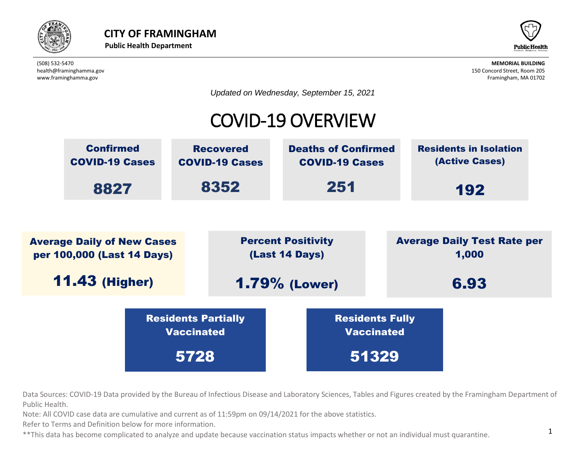



*Updated on Wednesday, September 15, 2021*

#### COVID-19 OVERVIEW



Data Sources: COVID-19 Data provided by the Bureau of Infectious Disease and Laboratory Sciences, Tables and Figures created by the Framingham Department of<br>Rublic Hoalth Public Health.

lata are cumulative and current as of  $11:59$ pm on 09/14/2021 for the above statistics. Note: All COVID case data are cumulative and current as of 11:59pm on 09/14/2021 for the above statistics.<br>Refer to Terms and Definition below for more information nd current as of 11

Refer to Terms and Definition below for more information.

\*\*This data has become complicated to analyze and update because vaccination status impacts whether or not an individual must quarantine.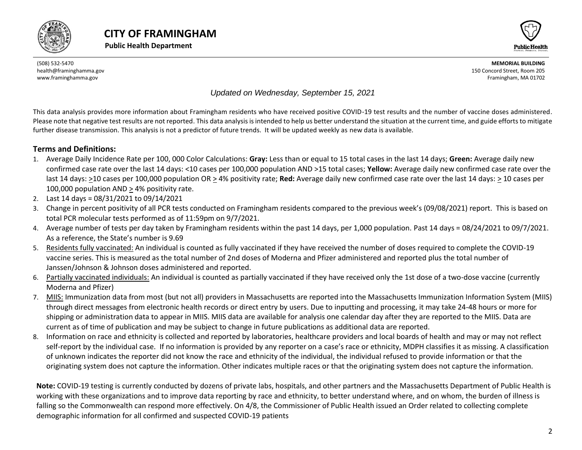



#### *Updated on Wednesday, September 15, 2021*

This data analysis provides more information about Framingham residents who have received positive COVID-19 test results and the number of vaccine doses administered. Please note that negative test results are not reported. This data analysis is intended to help us better understand the situation at the current time, and guide efforts to mitigate further disease transmission. This analysis is not a predictor of future trends. It will be updated weekly as new data is available.

#### **Terms and Definitions:**

- 1. Average Daily Incidence Rate per 100, 000 Color Calculations: **Gray:** Less than or equal to 15 total cases in the last 14 days; **Green:** Average daily new confirmed case rate over the last 14 days: <10 cases per 100,000 population AND >15 total cases; **Yellow:** Average daily new confirmed case rate over the last 14 days: >10 cases per 100,000 population OR > 4% positivity rate; **Red:** Average daily new confirmed case rate over the last 14 days: > 10 cases per 100,000 population AND > 4% positivity rate.
- 2. Last 14 days = 08/31/2021 to 09/14/2021
- 3. Change in percent positivity of all PCR tests conducted on Framingham residents compared to the previous week's (09/08/2021) report. This is based on total PCR molecular tests performed as of 11:59pm on 9/7/2021.
- 4. Average number of tests per day taken by Framingham residents within the past 14 days, per 1,000 population. Past 14 days = 08/24/2021 to 09/7/2021. As a reference, the State's number is 9.69
- 5. Residents fully vaccinated: An individual is counted as fully vaccinated if they have received the number of doses required to complete the COVID-19 vaccine series. This is measured as the total number of 2nd doses of Moderna and Pfizer administered and reported plus the total number of Janssen/Johnson & Johnson doses administered and reported.
- 6. Partially vaccinated individuals: An individual is counted as partially vaccinated if they have received only the 1st dose of a two-dose vaccine (currently Moderna and Pfizer)
- 7. MIIS: Immunization data from most (but not all) providers in Massachusetts are reported into the Massachusetts Immunization Information System (MIIS) through direct messages from electronic health records or direct entry by users. Due to inputting and processing, it may take 24-48 hours or more for shipping or administration data to appear in MIIS. MIIS data are available for analysis one calendar day after they are reported to the MIIS. Data are current as of time of publication and may be subject to change in future publications as additional data are reported.
- 8. Information on race and ethnicity is collected and reported by laboratories, healthcare providers and local boards of health and may or may not reflect self-report by the individual case. If no information is provided by any reporter on a case's race or ethnicity, MDPH classifies it as missing. A classification of unknown indicates the reporter did not know the race and ethnicity of the individual, the individual refused to provide information or that the originating system does not capture the information. Other indicates multiple races or that the originating system does not capture the information.

<span id="page-1-0"></span>**Note:** COVID-19 testing is currently conducted by dozens of private labs, hospitals, and other partners and the Massachusetts Department of Public Health is working with these organizations and to improve data reporting by race and ethnicity, to better understand where, and on whom, the burden of illness is falling so the Commonwealth can respond more effectively. On 4/8, the Commissioner of Public Health issued an Order related to collecting complete demographic information for all confirmed and suspected COVID-19 patients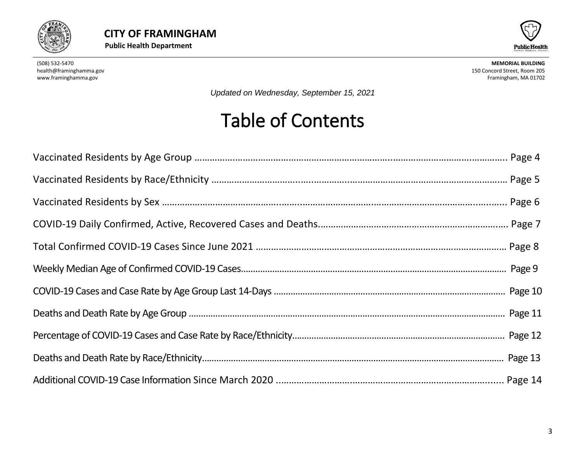



*Updated on Wednesday, September 15, 2021*

# Table of Contents

<span id="page-2-0"></span>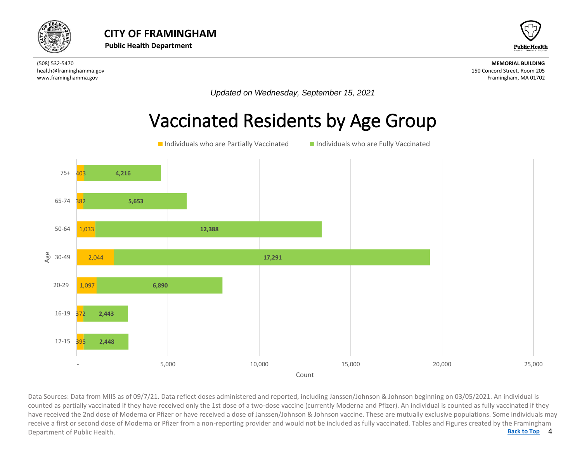



*Updated on Wednesday, September 15, 2021*

#### Vaccinated Residents by Age Group



4 Data Sources: Data from MIIS as of 09/7/21. Data reflect doses administered and reported, including Janssen/Johnson & Johnson beginning on 03/05/2021. An individual is<br>counted as partially vaccinated if they have received **[Back to Top](#page-1-0)** counted as partially vaccinated if they have received only the 1st dose of a two-dose vaccine (currently Moderna and Pfizer). An individual is counted as fully vaccinated if they have received the 2nd dose of Moderna or Pfizer or have received a dose of Janssen/Johnson & Johnson vaccine. These are mutually exclusive populations. Some individuals may receive a first or second dose of Moderna or Pfizer from a non-reporting provider and would not be included as fully vaccinated. Tables and Figures created by the Framingham Department of Public Health.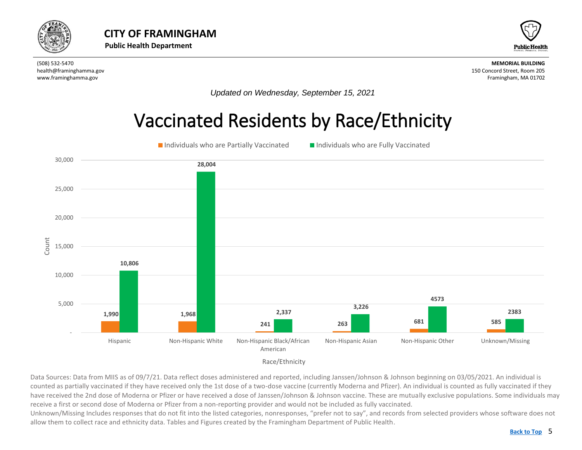<span id="page-4-0"></span>



*Updated on Wednesday, September 15, 2021*

#### Vaccinated Residents by Race/Ethnicity



Race/Ethnicity

Data Sources: Data from MIIS as of 09/7/21. Data reflect doses administered and reported, including Janssen/Johnson & Johnson beginning on 03/05/2021. An individual is counted as partially vaccinated if they have received only the 1st dose of a two-dose vaccine (currently Moderna and Pfizer). An individual is counted as fully vaccinated if they have received the 2nd dose of Moderna or Pfizer or have received a dose of Janssen/Johnson & Johnson vaccine. These are mutually exclusive populations. Some individuals may receive a first or second dose of Moderna or Pfizer from a non-reporting provider and would not be included as fully vaccinated.

Unknown/Missing Includes responses that do not fit into the listed categories, nonresponses, "prefer not to say", and records from selected providers whose software does not allow them to collect race and ethnicity data. Tables and Figures created by the Framingham Department of Public Health.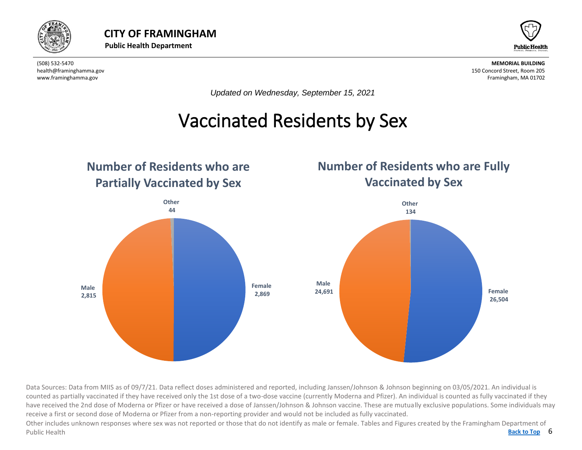



*Updated on Wednesday, September 15, 2021*

### Vaccinated Residents by Sex

<span id="page-5-0"></span>

Data Sources: Data from MIIS as of 09/7/21. Data reflect doses administered and reported, including Janssen/Johnson & Johnson beginning on 03/05/2021. An individual is counted as partially vaccinated if they have received only the 1st dose of a two-dose vaccine (currently Moderna and Pfizer). An individual is counted as fully vaccinated if they have received the 2nd dose of Moderna or Pfizer or have received a dose of Janssen/Johnson & Johnson vaccine. These are mutually exclusive populations. Some individuals may receive a first or second dose of Moderna or Pfizer from a non-reporting provider and would not be included as fully vaccinated.

Back to Top 6 Other includes unknown responses where sex was not reported or those that do not identify as male or female. Tables and Figures created by the Framingham Department of Public Health **[Back to Top](#page-1-0)**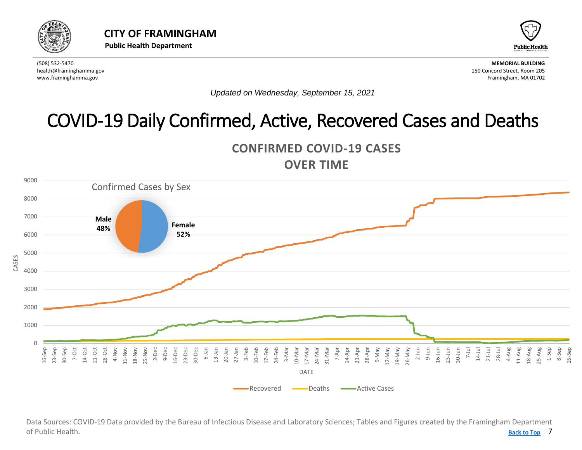<span id="page-6-0"></span>



*Updated on Wednesday, September 15, 2021*

## COVID-19 Daily Confirmed, Active, Recovered Cases and Deaths





7 **[Back to Top](#page-1-0)** Data Sources: COVID-19 Data provided by the Bureau of Infectious Disease and Laboratory Sciences; Tables and Figures created by the Framingham Department of Public Health.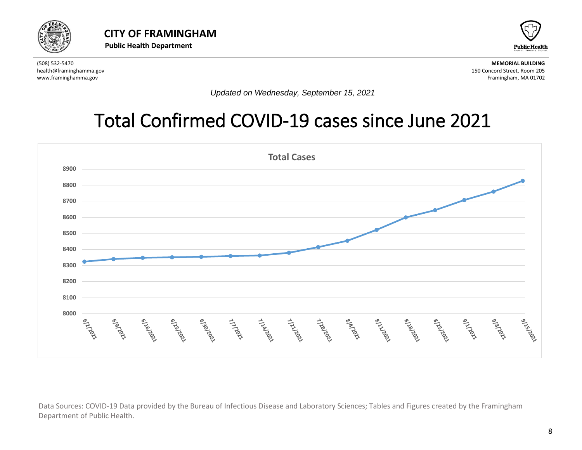



*Updated on Wednesday, September 15, 2021*

### Total Confirmed COVID-19 cases since June 2021



Data Sources: COVID-19 Data provided by the Bureau of Infectious Disease and Laboratory Sciences; Tables and Figures created by the Framingham Department of Public Health.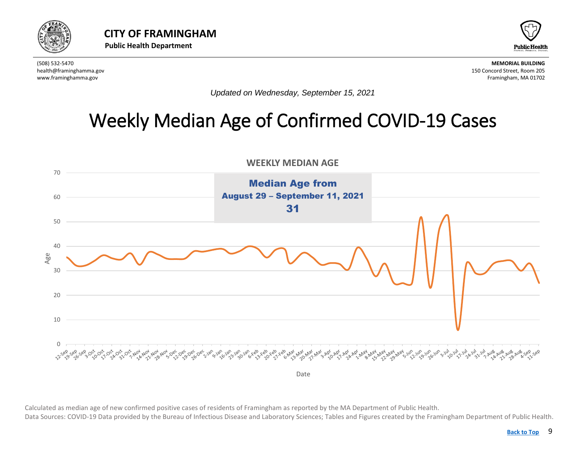<span id="page-8-0"></span>



*Updated on Wednesday, September 15, 2021*

### Weekly Median Age of Confirmed COVID-19 Cases



 Calculated as median age of new confirmed positive cases of residents of Framingham as reported by the MA Department of Public Health. Data Sources: COVID-19 Data provided by the Bureau of Infectious Disease and Laboratory Sciences; Tables and Figures created by the Framingham Department of Public Health.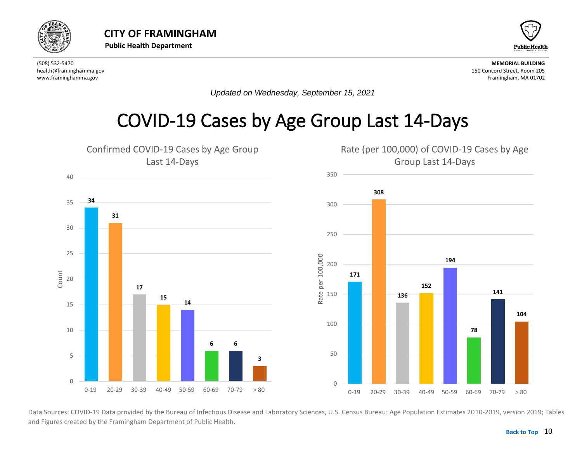<span id="page-9-0"></span>![](_page_9_Picture_0.jpeg)

![](_page_9_Picture_3.jpeg)

*Updated on Wednesday, September 15, 2021*

#### COVID-19 Cases by Age Group Last 14-Days

![](_page_9_Figure_7.jpeg)

Data Sources: COVID-19 Data provided by the Bureau of Infectious Disease and Laboratory Sciences, U.S. Census Bureau: Age Population Estimates 2010-2019, version 2019; Tables and Figures created by the Framingham Department of Public Health.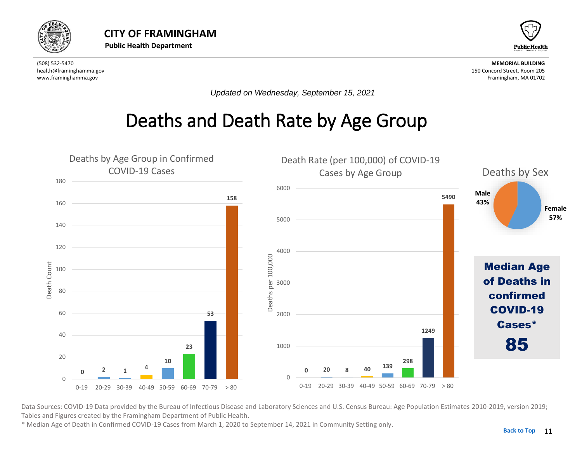<span id="page-10-0"></span>![](_page_10_Picture_0.jpeg)

![](_page_10_Picture_3.jpeg)

*Updated on Wednesday, September 15, 2021*

#### Deaths and Death Rate by Age Group

![](_page_10_Figure_7.jpeg)

Data Sources: COVID-19 Data provided by the Bureau of Infectious Disease and Laboratory Sciences and U.S. Census Bureau: Age Population Estimates 2010-2019, version 2019; Tables and Figures created by the Framingham Department of Public Health.

\* Median Age of Death in Confirmed COVID-19 Cases from March 1, 2020 to September 14, 2021 in Community Setting only.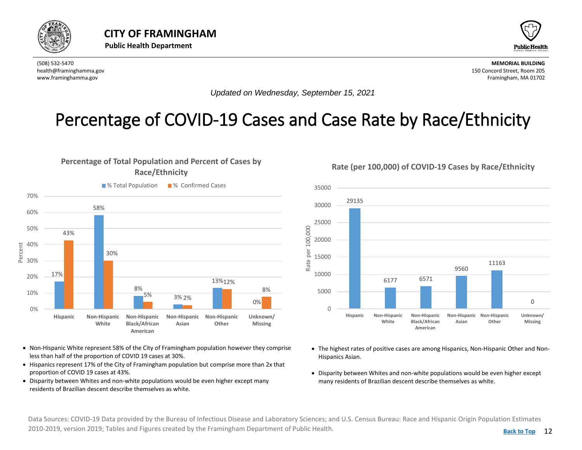<span id="page-11-0"></span>![](_page_11_Picture_0.jpeg)

![](_page_11_Picture_3.jpeg)

*Updated on Wednesday, September 15, 2021*

#### Percentage of COVID-19 Cases and Case Rate by Race/Ethnicity

#### **Percentage of Total Population and Percent of Cases by Race/Ethnicity**

![](_page_11_Figure_8.jpeg)

- Non-Hispanic White represent 58% of the City of Framingham population however they comprise less than half of the proportion of COVID 19 cases at 30%.
- Hispanics represent 17% of the City of Framingham population but comprise more than 2x that proportion of COVID 19 cases at 43%.
- Disparity between Whites and non-white populations would be even higher except many residents of Brazilian descent describe themselves as white.

![](_page_11_Figure_12.jpeg)

- The highest rates of positive cases are among Hispanics, Non-Hispanic Other and Non-Hispanics Asian.
- Disparity between Whites and non-white populations would be even higher except many residents of Brazilian descent describe themselves as white.

Data Sources: COVID-19 Data provided by the Bureau of Infectious Disease and Laboratory Sciences; and U.S. Census Bureau: Race and Hispanic Origin Population Estimates 2010-2019, version 2019; Tables and Figures created by the Framingham Department of Public Health.

#### **Rate (per 100,000) of COVID-19 Cases by Race/Ethnicity**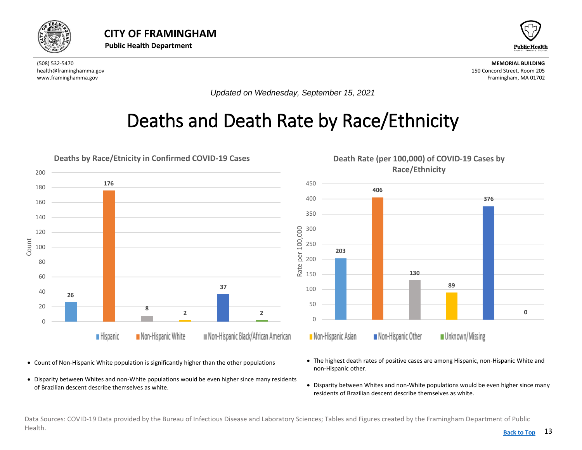<span id="page-12-0"></span>![](_page_12_Picture_0.jpeg)

![](_page_12_Picture_3.jpeg)

*Updated on Wednesday, September 15, 2021*

### Deaths and Death Rate by Race/Ethnicity

![](_page_12_Figure_7.jpeg)

- Count of Non-Hispanic White population is significantly higher than the other populations
- Disparity between Whites and non-White populations would be even higher since many residents of Brazilian descent describe themselves as white.
- The highest death rates of positive cases are among Hispanic, non-Hispanic White and non-Hispanic other.
- Disparity between Whites and non-White populations would be even higher since many residents of Brazilian descent describe themselves as white.

Data Sources: COVID-19 Data provided by the Bureau of Infectious Disease and Laboratory Sciences; Tables and Figures created by the Framingham Department of Public Health. **[Back to Top](#page-1-0)**